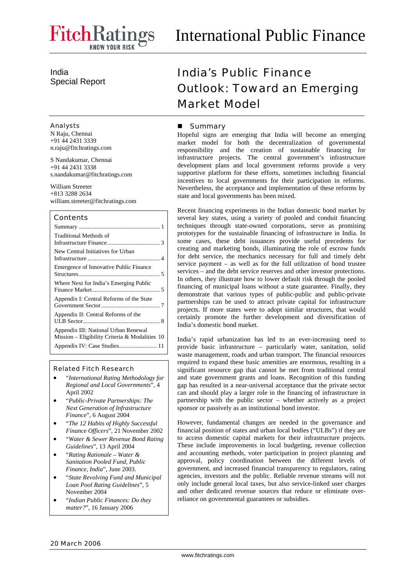India Special Report

#### Analysts

N Raju, Chennai +91 44 2431 3339 n.raju@fitchratings.com

S Nandakumar, Chennai +91 44 2431 3338 s.nandakumar@fitchratings.com

William Streeter +813 3288 2634 william.streeter@fitchratings.com

## Contents

| Traditional Methods of                                                                   |
|------------------------------------------------------------------------------------------|
| New Central Initiatives for Urban                                                        |
| Emergence of Innovative Public Finance                                                   |
| Where Next for India's Emerging Public                                                   |
| Appendix I: Central Reforms of the State                                                 |
| Appendix II: Central Reforms of the                                                      |
| Appendix III: National Urban Renewal<br>Mission – Eligibility Criteria & Modalities $10$ |

#### Related Fitch Research

- "*International Rating Methodology for Regional and Local Governments*", 4 April 2002
- "*Public-Private Partnerships: The Next Generation of Infrastructure Finance*", 6 August 2004
- "*The 12 Habits of Highly Successful Finance Officers*", 21 November 2002
- "*Water & Sewer Revenue Bond Rating Guidelines*", 13 April 2004
- "*Rating Rationale Water & Sanitation Pooled Fund, Public Finance, India*", June 2003.
- "*State Revolving Fund and Municipal Loan Pool Rating Guidelines*", 5 November 2004
- "*Indian Public Finances: Do they matter?*", 16 January 2006

# India's Public Finance Outlook: Toward an Emerging Market Model

# Summary

Hopeful signs are emerging that India will become an emerging market model for both the decentralization of governmental responsibility and the creation of sustainable financing for infrastructure projects. The central government's infrastructure development plans and local government reforms provide a very supportive platform for these efforts, sometimes including financial incentives to local governments for their participation in reforms. Nevertheless, the acceptance and implementation of these reforms by state and local governments has been mixed.

Recent financing experiments in the Indian domestic bond market by several key states, using a variety of pooled and conduit financing techniques through state-owned corporations, serve as promising prototypes for the sustainable financing of infrastructure in India. In some cases, these debt issuances provide useful precedents for creating and marketing bonds, illuminating the role of escrow funds for debt service, the mechanics necessary for full and timely debt service payment – as well as for the full utilization of bond trustee services – and the debt service reserves and other investor protections. In others, they illustrate how to lower default risk through the pooled financing of municipal loans without a state guarantee. Finally, they demonstrate that various types of public-public and public-private partnerships can be used to attract private capital for infrastructure projects. If more states were to adopt similar structures, that would certainly promote the further development and diversification of India's domestic bond market.

India's rapid urbanization has led to an ever-increasing need to provide basic infrastructure – particularly water, sanitation, solid waste management, roads and urban transport. The financial resources required to expand these basic amenities are enormous, resulting in a significant resource gap that cannot be met from traditional central and state government grants and loans. Recognition of this funding gap has resulted in a near-universal acceptance that the private sector can and should play a larger role in the financing of infrastructure in partnership with the public sector – whether actively as a project sponsor or passively as an institutional bond investor.

However, fundamental changes are needed in the governance and financial position of states and urban local bodies ("ULBs") if they are to access domestic capital markets for their infrastructure projects. These include improvements in local budgeting, revenue collection and accounting methods, voter participation in project planning and approval, policy coordination between the different levels of government, and increased financial transparency to regulators, rating agencies, investors and the public. Reliable revenue streams will not only include general local taxes, but also service-linked user charges and other dedicated revenue sources that reduce or eliminate overreliance on governmental guarantees or subsidies.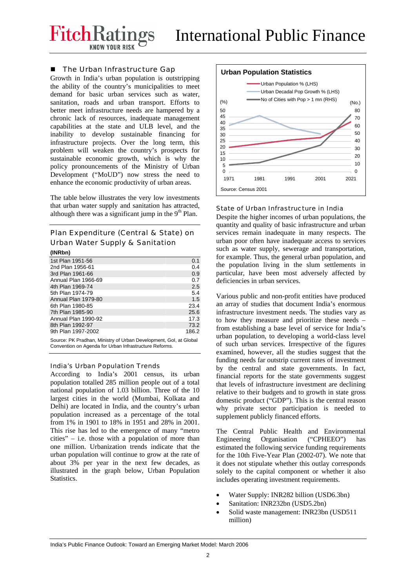FitchRati

# ■ The Urban Infrastructure Gap

Growth in India's urban population is outstripping the ability of the country's municipalities to meet demand for basic urban services such as water, sanitation, roads and urban transport. Efforts to better meet infrastructure needs are hampered by a chronic lack of resources, inadequate management capabilities at the state and ULB level, and the inability to develop sustainable financing for infrastructure projects. Over the long term, this problem will weaken the country's prospects for sustainable economic growth, which is why the policy pronouncements of the Ministry of Urban Development ("MoUD") now stress the need to enhance the economic productivity of urban areas.

The table below illustrates the very low investments that urban water supply and sanitation has attracted, although there was a significant jump in the  $9<sup>th</sup>$  Plan.

# Plan Expenditure (Central & State) on Urban Water Supply & Sanitation

| (INRbn)             |       |
|---------------------|-------|
| 1st Plan 1951-56    | 0.1   |
| 2nd Plan 1956-61    | 0.4   |
| 3rd Plan 1961-66    | 0.9   |
| Annual Plan 1966-69 | 0.7   |
| 4th Plan 1969-74    | 2.5   |
| 5th Plan 1974-79    | 5.4   |
| Annual Plan 1979-80 | 1.5   |
| 6th Plan 1980-85    | 23.4  |
| 7th Plan 1985-90    | 25.6  |
| Annual Plan 1990-92 | 17.3  |
| 8th Plan 1992-97    | 73.2  |
| 9th Plan 1997-2002  | 186.2 |

Source: PK Pradhan, Ministry of Urban Development, GoI, at Global Convention on Agenda for Urban Infrastructure Reforms.

## India's Urban Population Trends

According to India's 2001 census, its urban population totalled 285 million people out of a total national population of 1.03 billion. Three of the 10 largest cities in the world (Mumbai, Kolkata and Delhi) are located in India, and the country's urban population increased as a percentage of the total from 1% in 1901 to 18% in 1951 and 28% in 2001. This rise has led to the emergence of many "metro cities" – i.e. those with a population of more than one million. Urbanization trends indicate that the urban population will continue to grow at the rate of about 3% per year in the next few decades, as illustrated in the graph below, Urban Population Statistics.



## State of Urban Infrastructure in India

Despite the higher incomes of urban populations, the quantity and quality of basic infrastructure and urban services remain inadequate in many respects. The urban poor often have inadequate access to services such as water supply, sewerage and transportation, for example. Thus, the general urban population, and the population living in the slum settlements in particular, have been most adversely affected by deficiencies in urban services.

Various public and non-profit entities have produced an array of studies that document India's enormous infrastructure investment needs. The studies vary as to how they measure and prioritize these needs – from establishing a base level of service for India's urban population, to developing a world-class level of such urban services. Irrespective of the figures examined, however, all the studies suggest that the funding needs far outstrip current rates of investment by the central and state governments. In fact, financial reports for the state governments suggest that levels of infrastructure investment are declining relative to their budgets and to growth in state gross domestic product ("GDP"). This is the central reason why private sector participation is needed to supplement publicly financed efforts.

The Central Public Health and Environmental Engineering Organisation ("CPHEEO") has estimated the following service funding requirements for the 10th Five-Year Plan (2002-07). We note that it does not stipulate whether this outlay corresponds solely to the capital component or whether it also includes operating investment requirements.

- Water Supply: INR282 billion (USD6.3bn)
- Sanitation: INR232bn (USD5.2bn)
- Solid waste management: INR23bn (USD511 million)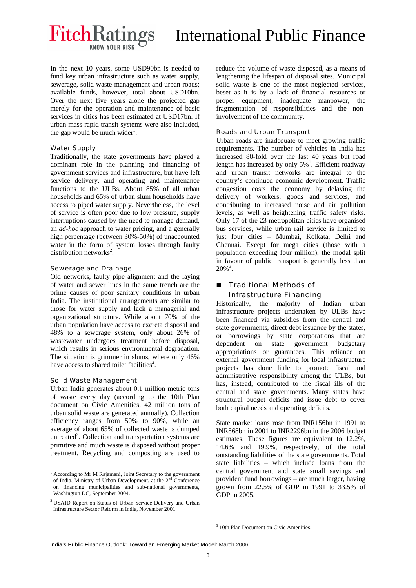**FitchRatings** 

In the next 10 years, some USD90bn is needed to fund key urban infrastructure such as water supply, sewerage, solid waste management and urban roads; available funds, however, total about USD10bn. Over the next five years alone the projected gap merely for the operation and maintenance of basic services in cities has been estimated at USD17bn. If urban mass rapid transit systems were also included, the gap would be much wider<sup>1</sup>.

# Water Supply

Traditionally, the state governments have played a dominant role in the planning and financing of government services and infrastructure, but have left service delivery, and operating and maintenance functions to the ULBs. About 85% of all urban households and 65% of urban slum households have access to piped water supply. Nevertheless, the level of service is often poor due to low pressure, supply interruptions caused by the need to manage demand, an *ad-hoc* approach to water pricing, and a generally high percentage (between 30%-50%) of unaccounted water in the form of system losses through faulty distribution networks<sup>2</sup>.

# Sewerage and Drainage

Old networks, faulty pipe alignment and the laying of water and sewer lines in the same trench are the prime causes of poor sanitary conditions in urban India. The institutional arrangements are similar to those for water supply and lack a managerial and organizational structure. While about 70% of the urban population have access to excreta disposal and 48% to a sewerage system, only about 26% of wastewater undergoes treatment before disposal, which results in serious environmental degradation. The situation is grimmer in slums, where only 46% have access to shared toilet facilities<sup>2</sup>.

## Solid Waste Management

-

Urban India generates about 0.1 million metric tons of waste every day (according to the 10th Plan document on Civic Amenities, 42 million tons of urban solid waste are generated annually). Collection efficiency ranges from 50% to 90%, while an average of about 65% of collected waste is dumped untreated<sup>2</sup>. Collection and transportation systems are primitive and much waste is disposed without proper treatment. Recycling and composting are used to reduce the volume of waste disposed, as a means of lengthening the lifespan of disposal sites. Municipal solid waste is one of the most neglected services, beset as it is by a lack of financial resources or proper equipment, inadequate manpower, the fragmentation of responsibilities and the noninvolvement of the community.

# Roads and Urban Transport

Urban roads are inadequate to meet growing traffic requirements. The number of vehicles in India has increased 80-fold over the last 40 years but road length has increased by only  $5\%$ <sup>1</sup>. Efficient roadway and urban transit networks are integral to the country's continued economic development. Traffic congestion costs the economy by delaying the delivery of workers, goods and services, and contributing to increased noise and air pollution levels, as well as heightening traffic safety risks. Only 17 of the 23 metropolitan cities have organised bus services, while urban rail service is limited to just four cities – Mumbai, Kolkata, Delhi and Chennai. Except for mega cities (those with a population exceeding four million), the modal split in favour of public transport is generally less than  $20\%$ <sup>3</sup>.

# ■ Traditional Methods of Infrastructure Financing

Historically, the majority of Indian urban infrastructure projects undertaken by ULBs have been financed via subsidies from the central and state governments, direct debt issuance by the states, or borrowings by state corporations that are dependent on state government budgetary appropriations or guarantees. This reliance on external government funding for local infrastructure projects has done little to promote fiscal and administrative responsibility among the ULBs, but has, instead, contributed to the fiscal ills of the central and state governments. Many states have structural budget deficits and issue debt to cover both capital needs and operating deficits.

State market loans rose from INR156bn in 1991 to INR868bn in 2001 to INR2296bn in the 2006 budget estimates. These figures are equivalent to 12.2%, 14.6% and 19.9%, respectively, of the total outstanding liabilities of the state governments. Total state liabilities – which include loans from the central government and state small savings and provident fund borrowings – are much larger, having grown from 22.5% of GDP in 1991 to 33.5% of GDP in 2005.

3 10th Plan Document on Civic Amenities.

-

<sup>&</sup>lt;sup>1</sup> According to Mr M Rajamani, Joint Secretary to the government of India, Ministry of Urban Development, at the 2nd Conference on financing municipalities and sub-national governments, Washington DC, September 2004.

<sup>&</sup>lt;sup>2</sup> USAID Report on Status of Urban Service Delivery and Urban Infrastructure Sector Reform in India, November 2001.

India's Public Finance Outlook: Toward an Emerging Market Model: March 2006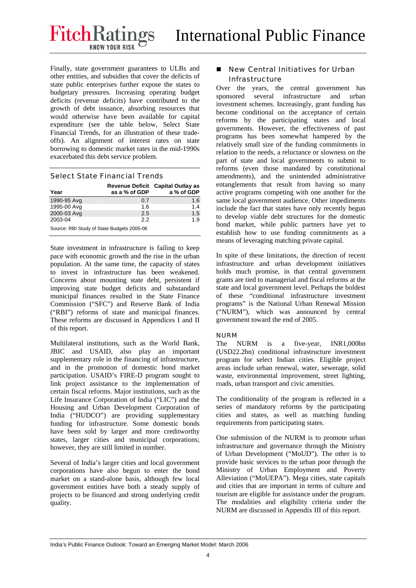Finally, state government guarantees to ULBs and other entities, and subsidies that cover the deficits of state public enterprises further expose the states to budgetary pressures. Increasing operating budget deficits (revenue deficits) have contributed to the growth of debt issuance, absorbing resources that would otherwise have been available for capital expenditure (see the table below, Select State Financial Trends, for an illustration of these tradeoffs). An alignment of interest rates on state borrowing to domestic market rates in the mid-1990s exacerbated this debt service problem.

## Select State Financial Trends

| Year                                       | as a % of GDP | Revenue Deficit Capital Outlay as<br>a % of GDP |  |  |  |  |
|--------------------------------------------|---------------|-------------------------------------------------|--|--|--|--|
| 1990-95 Avg                                | 0.7           | 1.6                                             |  |  |  |  |
| 1995-00 Avg                                | 1.6           | 1.4                                             |  |  |  |  |
| 2000-03 Avg                                | 2.5           | 1.5                                             |  |  |  |  |
| 2003-04                                    | 22            | 1.9                                             |  |  |  |  |
| Source: RBI Study of State Budgets 2005-06 |               |                                                 |  |  |  |  |

State investment in infrastructure is failing to keep pace with economic growth and the rise in the urban population. At the same time, the capacity of states to invest in infrastructure has been weakened. Concerns about mounting state debt, persistent if improving state budget deficits and substandard municipal finances resulted in the State Finance Commission ("SFC") and Reserve Bank of India ("RBI") reforms of state and municipal finances. These reforms are discussed in Appendices I and II of this report.

Multilateral institutions, such as the World Bank, JBIC and USAID, also play an important supplementary role in the financing of infrastructure, and in the promotion of domestic bond market participation. USAID's FIRE-D program sought to link project assistance to the implementation of certain fiscal reforms. Major institutions, such as the Life Insurance Corporation of India ("LIC") and the Housing and Urban Development Corporation of India ("HUDCO") are providing supplementary funding for infrastructure. Some domestic bonds have been sold by larger and more creditworthy states, larger cities and municipal corporations; however, they are still limited in number.

Several of India's larger cities and local government corporations have also begun to enter the bond market on a stand-alone basis, although few local government entities have both a steady supply of projects to be financed and strong underlying credit quality.

# ■ New Central Initiatives for Urban Infrastructure

Over the years, the central government has sponsored several infrastructure and urban investment schemes. Increasingly, grant funding has become conditional on the acceptance of certain reforms by the participating states and local governments. However, the effectiveness of past programs has been somewhat hampered by the relatively small size of the funding commitments in relation to the needs, a reluctance or slowness on the part of state and local governments to submit to reforms (even those mandated by constitutional amendments), and the unintended administrative entanglements that result from having so many active programs competing with one another for the same local government audience. Other impediments include the fact that states have only recently begun to develop viable debt structures for the domestic bond market, while public partners have yet to establish how to use funding commitments as a means of leveraging matching private capital.

In spite of these limitations, the direction of recent infrastructure and urban development initiatives holds much promise, in that central government grants are tied to managerial and fiscal reforms at the state and local government level. Perhaps the boldest of these "conditional infrastructure investment programs" is the National Urban Renewal Mission ("NURM"), which was announced by central government toward the end of 2005.

# NURM

The NURM is a five-year, INR1,000bn (USD22.2bn) conditional infrastructure investment program for select Indian cities. Eligible project areas include urban renewal, water, sewerage, solid waste, environmental improvement, street lighting, roads, urban transport and civic amenities.

The conditionality of the program is reflected in a series of mandatory reforms by the participating cities and states, as well as matching funding requirements from participating states.

One submission of the NURM is to promote urban infrastructure and governance through the Ministry of Urban Development ("MoUD"). The other is to provide basic services to the urban poor through the Ministry of Urban Employment and Poverty Alleviation ("MoUEPA"). Mega cities, state capitals and cities that are important in terms of culture and tourism are eligible for assistance under the program. The modalities and eligibility criteria under the NURM are discussed in Appendix III of this report.

India's Public Finance Outlook: Toward an Emerging Market Model: March 2006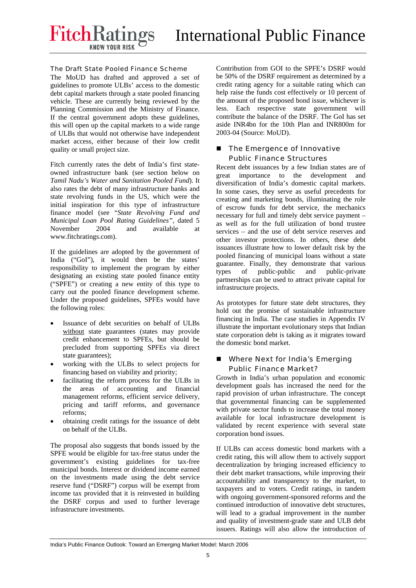# The Draft State Pooled Finance Scheme

The MoUD has drafted and approved a set of guidelines to promote ULBs' access to the domestic debt capital markets through a state pooled financing vehicle. These are currently being reviewed by the Planning Commission and the Ministry of Finance. If the central government adopts these guidelines, this will open up the capital markets to a wide range of ULBs that would not otherwise have independent market access, either because of their low credit quality or small project size.

Fitch currently rates the debt of India's first stateowned infrastructure bank (see section below on *Tamil Nadu's Water and Sanitation Pooled Fund*). It also rates the debt of many infrastructure banks and state revolving funds in the US, which were the initial inspiration for this type of infrastructure finance model (see "*State Revolving Fund and Municipal Loan Pool Rating Guidelines"*, dated 5 November 2004 and available at www.fitchratings.com).

If the guidelines are adopted by the government of India ("GoI"), it would then be the states' responsibility to implement the program by either designating an existing state pooled finance entity ("SPFE") or creating a new entity of this type to carry out the pooled finance development scheme. Under the proposed guidelines, SPFEs would have the following roles:

- Issuance of debt securities on behalf of ULBs without state guarantees (states may provide credit enhancement to SPFEs, but should be precluded from supporting SPFEs via direct state guarantees);
- working with the ULBs to select projects for financing based on viability and priority;
- facilitating the reform process for the ULBs in the areas of accounting and financial management reforms, efficient service delivery, pricing and tariff reforms, and governance reforms;
- obtaining credit ratings for the issuance of debt on behalf of the ULBs.

The proposal also suggests that bonds issued by the SPFE would be eligible for tax-free status under the government's existing guidelines for tax-free municipal bonds. Interest or dividend income earned on the investments made using the debt service reserve fund ("DSRF") corpus will be exempt from income tax provided that it is reinvested in building the DSRF corpus and used to further leverage infrastructure investments.

Contribution from GOI to the SPFE's DSRF would be 50% of the DSRF requirement as determined by a credit rating agency for a suitable rating which can help raise the funds cost effectively or 10 percent of the amount of the proposed bond issue, whichever is less. Each respective state government will contribute the balance of the DSRF. The GoI has set aside INR4bn for the 10th Plan and INR800m for 2003-04 (Source: MoUD).

# ■ The Emergence of Innovative Public Finance Structures

Recent debt issuances by a few Indian states are of great importance to the development and diversification of India's domestic capital markets. In some cases, they serve as useful precedents for creating and marketing bonds, illuminating the role of escrow funds for debt service, the mechanics necessary for full and timely debt service payment – as well as for the full utilization of bond trustee services – and the use of debt service reserves and other investor protections. In others, these debt issuances illustrate how to lower default risk by the pooled financing of municipal loans without a state guarantee. Finally, they demonstrate that various types of public-public and public-private partnerships can be used to attract private capital for infrastructure projects.

As prototypes for future state debt structures, they hold out the promise of sustainable infrastructure financing in India. The case studies in Appendix IV illustrate the important evolutionary steps that Indian state corporation debt is taking as it migrates toward the domestic bond market.

# **Number Wext for India's Emerging** Public Finance Market?

Growth in India's urban population and economic development goals has increased the need for the rapid provision of urban infrastructure. The concept that governmental financing can be supplemented with private sector funds to increase the total money available for local infrastructure development is validated by recent experience with several state corporation bond issues.

If ULBs can access domestic bond markets with a credit rating, this will allow them to actively support decentralization by bringing increased efficiency to their debt market transactions, while improving their accountability and transparency to the market, to taxpayers and to voters. Credit ratings, in tandem with ongoing government-sponsored reforms and the continued introduction of innovative debt structures, will lead to a gradual improvement in the number and quality of investment-grade state and ULB debt issuers. Ratings will also allow the introduction of

India's Public Finance Outlook: Toward an Emerging Market Model: March 2006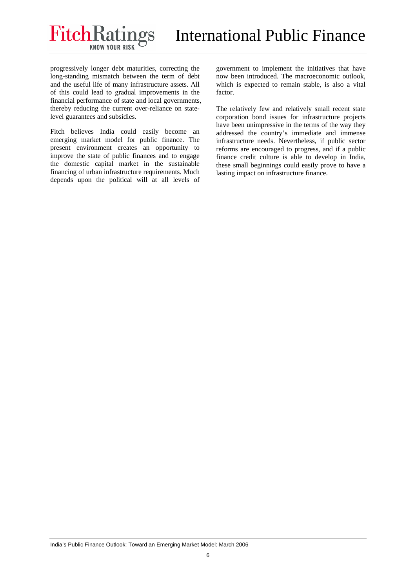progressively longer debt maturities, correcting the long-standing mismatch between the term of debt and the useful life of many infrastructure assets. All of this could lead to gradual improvements in the financial performance of state and local governments, thereby reducing the current over-reliance on statelevel guarantees and subsidies.

Fitch believes India could easily become an emerging market model for public finance. The present environment creates an opportunity to improve the state of public finances and to engage the domestic capital market in the sustainable financing of urban infrastructure requirements. Much depends upon the political will at all levels of government to implement the initiatives that have now been introduced. The macroeconomic outlook, which is expected to remain stable, is also a vital factor.

The relatively few and relatively small recent state corporation bond issues for infrastructure projects have been unimpressive in the terms of the way they addressed the country's immediate and immense infrastructure needs. Nevertheless, if public sector reforms are encouraged to progress, and if a public finance credit culture is able to develop in India, these small beginnings could easily prove to have a lasting impact on infrastructure finance.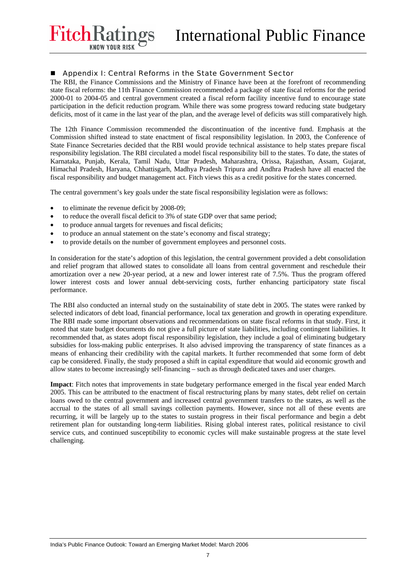## Appendix I: Central Reforms in the State Government Sector

The RBI, the Finance Commissions and the Ministry of Finance have been at the forefront of recommending state fiscal reforms: the 11th Finance Commission recommended a package of state fiscal reforms for the period 2000-01 to 2004-05 and central government created a fiscal reform facility incentive fund to encourage state participation in the deficit reduction program. While there was some progress toward reducing state budgetary deficits, most of it came in the last year of the plan, and the average level of deficits was still comparatively high.

The 12th Finance Commission recommended the discontinuation of the incentive fund. Emphasis at the Commission shifted instead to state enactment of fiscal responsibility legislation. In 2003, the Conference of State Finance Secretaries decided that the RBI would provide technical assistance to help states prepare fiscal responsibility legislation. The RBI circulated a model fiscal responsibility bill to the states. To date, the states of Karnataka, Punjab, Kerala, Tamil Nadu, Uttar Pradesh, Maharashtra, Orissa, Rajasthan, Assam, Gujarat, Himachal Pradesh, Haryana, Chhattisgarh, Madhya Pradesh Tripura and Andhra Pradesh have all enacted the fiscal responsibility and budget management act. Fitch views this as a credit positive for the states concerned.

The central government's key goals under the state fiscal responsibility legislation were as follows:

• to eliminate the revenue deficit by 2008-09;

FitchRati

- to reduce the overall fiscal deficit to 3% of state GDP over that same period;
- to produce annual targets for revenues and fiscal deficits;
- to produce an annual statement on the state's economy and fiscal strategy;
- to provide details on the number of government employees and personnel costs.

In consideration for the state's adoption of this legislation, the central government provided a debt consolidation and relief program that allowed states to consolidate all loans from central government and reschedule their amortization over a new 20-year period, at a new and lower interest rate of 7.5%. Thus the program offered lower interest costs and lower annual debt-servicing costs, further enhancing participatory state fiscal performance.

The RBI also conducted an internal study on the sustainability of state debt in 2005. The states were ranked by selected indicators of debt load, financial performance, local tax generation and growth in operating expenditure. The RBI made some important observations and recommendations on state fiscal reforms in that study. First, it noted that state budget documents do not give a full picture of state liabilities, including contingent liabilities. It recommended that, as states adopt fiscal responsibility legislation, they include a goal of eliminating budgetary subsidies for loss-making public enterprises. It also advised improving the transparency of state finances as a means of enhancing their credibility with the capital markets. It further recommended that some form of debt cap be considered. Finally, the study proposed a shift in capital expenditure that would aid economic growth and allow states to become increasingly self-financing – such as through dedicated taxes and user charges.

**Impact**: Fitch notes that improvements in state budgetary performance emerged in the fiscal year ended March 2005. This can be attributed to the enactment of fiscal restructuring plans by many states, debt relief on certain loans owed to the central government and increased central government transfers to the states, as well as the accrual to the states of all small savings collection payments. However, since not all of these events are recurring, it will be largely up to the states to sustain progress in their fiscal performance and begin a debt retirement plan for outstanding long-term liabilities. Rising global interest rates, political resistance to civil service cuts, and continued susceptibility to economic cycles will make sustainable progress at the state level challenging.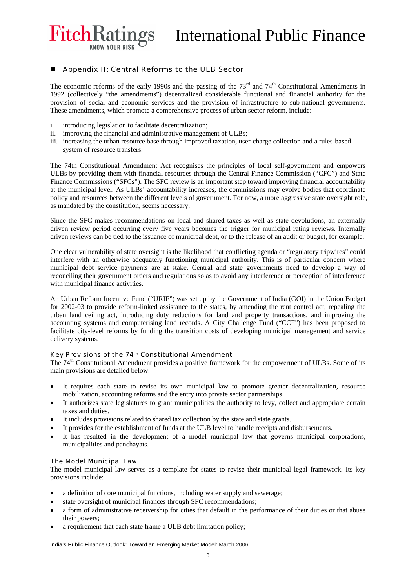**FitchRatings** 

# ■ Appendix II: Central Reforms to the ULB Sector

The economic reforms of the early 1990s and the passing of the  $73<sup>rd</sup>$  and  $74<sup>th</sup>$  Constitutional Amendments in 1992 (collectively "the amendments") decentralized considerable functional and financial authority for the provision of social and economic services and the provision of infrastructure to sub-national governments. These amendments, which promote a comprehensive process of urban sector reform, include:

- i. introducing legislation to facilitate decentralization;
- ii. improving the financial and administrative management of ULBs;
- iii. increasing the urban resource base through improved taxation, user-charge collection and a rules-based system of resource transfers.

The 74th Constitutional Amendment Act recognises the principles of local self-government and empowers ULBs by providing them with financial resources through the Central Finance Commission ("CFC") and State Finance Commissions ("SFCs"). The SFC review is an important step toward improving financial accountability at the municipal level. As ULBs' accountability increases, the commissions may evolve bodies that coordinate policy and resources between the different levels of government. For now, a more aggressive state oversight role, as mandated by the constitution, seems necessary.

Since the SFC makes recommendations on local and shared taxes as well as state devolutions, an externally driven review period occurring every five years becomes the trigger for municipal rating reviews. Internally driven reviews can be tied to the issuance of municipal debt, or to the release of an audit or budget, for example.

One clear vulnerability of state oversight is the likelihood that conflicting agenda or "regulatory tripwires" could interfere with an otherwise adequately functioning municipal authority. This is of particular concern where municipal debt service payments are at stake. Central and state governments need to develop a way of reconciling their government orders and regulations so as to avoid any interference or perception of interference with municipal finance activities.

An Urban Reform Incentive Fund ("URIF") was set up by the Government of India (GOI) in the Union Budget for 2002-03 to provide reform-linked assistance to the states, by amending the rent control act, repealing the urban land ceiling act, introducing duty reductions for land and property transactions, and improving the accounting systems and computerising land records. A City Challenge Fund ("CCF") has been proposed to facilitate city-level reforms by funding the transition costs of developing municipal management and service delivery systems.

## Key Provisions of the 74th Constitutional Amendment

The 74<sup>th</sup> Constitutional Amendment provides a positive framework for the empowerment of ULBs. Some of its main provisions are detailed below.

- It requires each state to revise its own municipal law to promote greater decentralization, resource mobilization, accounting reforms and the entry into private sector partnerships.
- It authorizes state legislatures to grant municipalities the authority to levy, collect and appropriate certain taxes and duties.
- It includes provisions related to shared tax collection by the state and state grants.
- It provides for the establishment of funds at the ULB level to handle receipts and disbursements.
- It has resulted in the development of a model municipal law that governs municipal corporations, municipalities and panchayats.

## The Model Municipal Law

The model municipal law serves as a template for states to revise their municipal legal framework. Its key provisions include:

- a definition of core municipal functions, including water supply and sewerage;
- state oversight of municipal finances through SFC recommendations;
- a form of administrative receivership for cities that default in the performance of their duties or that abuse their powers;
- a requirement that each state frame a ULB debt limitation policy;

India's Public Finance Outlook: Toward an Emerging Market Model: March 2006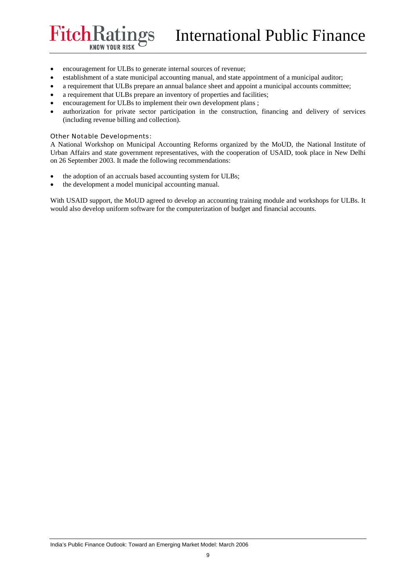• encouragement for ULBs to generate internal sources of revenue;

**1***p*s

- establishment of a state municipal accounting manual, and state appointment of a municipal auditor;
- a requirement that ULBs prepare an annual balance sheet and appoint a municipal accounts committee;
- a requirement that ULBs prepare an inventory of properties and facilities;
- encouragement for ULBs to implement their own development plans;
- authorization for private sector participation in the construction, financing and delivery of services (including revenue billing and collection).

#### Other Notable Developments:

FitchRatin

**KNOW YOUR RISK** 

A National Workshop on Municipal Accounting Reforms organized by the MoUD, the National Institute of Urban Affairs and state government representatives, with the cooperation of USAID, took place in New Delhi on 26 September 2003. It made the following recommendations:

- the adoption of an accruals based accounting system for ULBs;
- the development a model municipal accounting manual.

With USAID support, the MoUD agreed to develop an accounting training module and workshops for ULBs. It would also develop uniform software for the computerization of budget and financial accounts.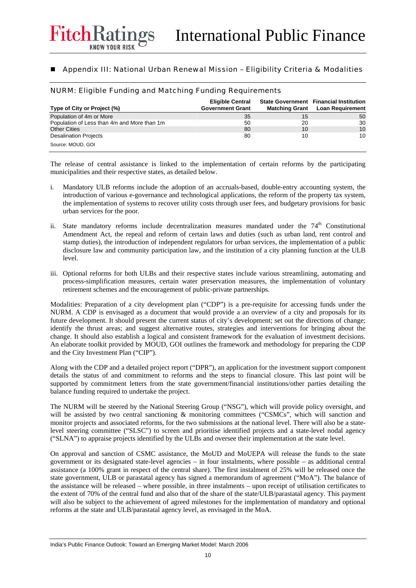# Appendix III: National Urban Renewal Mission – Eligibility Criteria & Modalities

NURM: Eligible Funding and Matching Funding Requirements

FitchRati

| Type of City or Project (%)                 | <b>Eligible Central</b><br><b>Government Grant</b> |    | <b>State Government</b> Financial Institution<br><b>Matching Grant</b> Loan Requirement |  |  |
|---------------------------------------------|----------------------------------------------------|----|-----------------------------------------------------------------------------------------|--|--|
| Population of 4m or More                    | 35                                                 | 15 | 50                                                                                      |  |  |
| Population of Less than 4m and More than 1m | 50                                                 | 20 | 30                                                                                      |  |  |
| <b>Other Cities</b>                         | 80                                                 | 10 | 10                                                                                      |  |  |
| <b>Desalination Projects</b>                | 80                                                 | 10 | 10                                                                                      |  |  |
| Source: MOUD, GOI                           |                                                    |    |                                                                                         |  |  |

The release of central assistance is linked to the implementation of certain reforms by the participating municipalities and their respective states, as detailed below.

- i. Mandatory ULB reforms include the adoption of an accruals-based, double-entry accounting system, the introduction of various e-governance and technological applications, the reform of the property tax system, the implementation of systems to recover utility costs through user fees, and budgetary provisions for basic urban services for the poor.
- ii. State mandatory reforms include decentralization measures mandated under the  $74<sup>th</sup>$  Constitutional Amendment Act, the repeal and reform of certain laws and duties (such as urban land, rent control and stamp duties), the introduction of independent regulators for urban services, the implementation of a public disclosure law and community participation law, and the institution of a city planning function at the ULB level.
- iii. Optional reforms for both ULBs and their respective states include various streamlining, automating and process-simplification measures, certain water preservation measures, the implementation of voluntary retirement schemes and the encouragement of public-private partnerships.

Modalities: Preparation of a city development plan ("CDP") is a pre-requisite for accessing funds under the NURM. A CDP is envisaged as a document that would provide a an overview of a city and proposals for its future development. It should present the current status of city's development; set out the directions of change; identify the thrust areas; and suggest alternative routes, strategies and interventions for bringing about the change. It should also establish a logical and consistent framework for the evaluation of investment decisions. An elaborate toolkit provided by MOUD, GOI outlines the framework and methodology for preparing the CDP and the City Investment Plan ("CIP").

Along with the CDP and a detailed project report ("DPR"), an application for the investment support component details the status of and commitment to reforms and the steps to financial closure. This last point will be supported by commitment letters from the state government/financial institutions/other parties detailing the balance funding required to undertake the project.

The NURM will be steered by the National Steering Group ("NSG"), which will provide policy oversight, and will be assisted by two central sanctioning & monitoring committees ("CSMCs", which will sanction and monitor projects and associated reforms, for the two submissions at the national level. There will also be a statelevel steering committee ("SLSC") to screen and prioritise identified projects and a state-level nodal agency ("SLNA") to appraise projects identified by the ULBs and oversee their implementation at the state level.

On approval and sanction of CSMC assistance, the MoUD and MoUEPA will release the funds to the state government or its designated state-level agencies – in four instalments, where possible – as additional central assistance (a 100% grant in respect of the central share). The first instalment of 25% will be released once the state government, ULB or parastatal agency has signed a memorandum of agreement ("MoA"). The balance of the assistance will be released – where possible, in three instalments – upon receipt of utilisation certificates to the extent of 70% of the central fund and also that of the share of the state/ULB/parastatal agency. This payment will also be subject to the achievement of agreed milestones for the implementation of mandatory and optional reforms at the state and ULB/parastatal agency level, as envisaged in the MoA.

India's Public Finance Outlook: Toward an Emerging Market Model: March 2006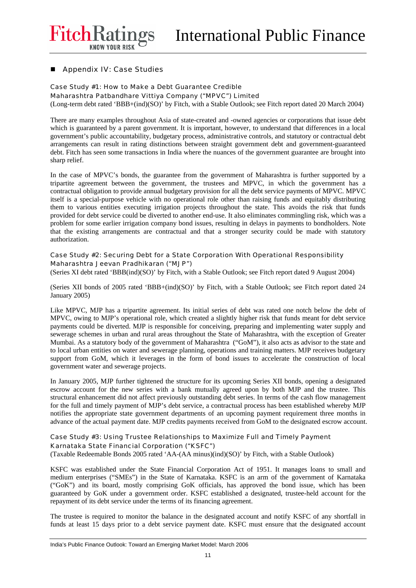**FitchRatings** 

# **Appendix IV: Case Studies**

# Case Study #1: How to Make a Debt Guarantee Credible

Maharashtra Patbandhare Vittiya Company ("MPVC") Limited

(Long-term debt rated 'BBB+(ind)(SO)' by Fitch, with a Stable Outlook; see Fitch report dated 20 March 2004)

There are many examples throughout Asia of state-created and -owned agencies or corporations that issue debt which is guaranteed by a parent government. It is important, however, to understand that differences in a local government's public accountability, budgetary process, administrative controls, and statutory or contractual debt arrangements can result in rating distinctions between straight government debt and government-guaranteed debt. Fitch has seen some transactions in India where the nuances of the government guarantee are brought into sharp relief.

In the case of MPVC's bonds, the guarantee from the government of Maharashtra is further supported by a tripartite agreement between the government, the trustees and MPVC, in which the government has a contractual obligation to provide annual budgetary provision for all the debt service payments of MPVC. MPVC itself is a special-purpose vehicle with no operational role other than raising funds and equitably distributing them to various entities executing irrigation projects throughout the state. This avoids the risk that funds provided for debt service could be diverted to another end-use. It also eliminates commingling risk, which was a problem for some earlier irrigation company bond issues, resulting in delays in payments to bondholders. Note that the existing arrangements are contractual and that a stronger security could be made with statutory authorization.

# Case Study #2: Securing Debt for a State Corporation With Operational Responsibility Maharashtra Jeevan Pradhikaran ("MJP")

(Series XI debt rated 'BBB(ind)(SO)' by Fitch, with a Stable Outlook; see Fitch report dated 9 August 2004)

(Series XII bonds of 2005 rated 'BBB+(ind)(SO)' by Fitch, with a Stable Outlook; see Fitch report dated 24 January 2005)

Like MPVC, MJP has a tripartite agreement. Its initial series of debt was rated one notch below the debt of MPVC, owing to MJP's operational role, which created a slightly higher risk that funds meant for debt service payments could be diverted. MJP is responsible for conceiving, preparing and implementing water supply and sewerage schemes in urban and rural areas throughout the State of Maharashtra, with the exception of Greater Mumbai. As a statutory body of the government of Maharashtra ("GoM"), it also acts as advisor to the state and to local urban entities on water and sewerage planning, operations and training matters. MJP receives budgetary support from GoM, which it leverages in the form of bond issues to accelerate the construction of local government water and sewerage projects.

In January 2005, MJP further tightened the structure for its upcoming Series XII bonds, opening a designated escrow account for the new series with a bank mutually agreed upon by both MJP and the trustee. This structural enhancement did not affect previously outstanding debt series. In terms of the cash flow management for the full and timely payment of MJP's debt service, a contractual process has been established whereby MJP notifies the appropriate state government departments of an upcoming payment requirement three months in advance of the actual payment date. MJP credits payments received from GoM to the designated escrow account.

# Case Study #3: Using Trustee Relationships to Maximize Full and Timely Payment Karnataka State Financial Corporation ("KSFC")

(Taxable Redeemable Bonds 2005 rated 'AA-(AA minus)(ind)(SO)' by Fitch, with a Stable Outlook)

KSFC was established under the State Financial Corporation Act of 1951. It manages loans to small and medium enterprises ("SMEs") in the State of Karnataka. KSFC is an arm of the government of Karnataka ("GoK") and its board, mostly comprising GoK officials, has approved the bond issue, which has been guaranteed by GoK under a government order. KSFC established a designated, trustee-held account for the repayment of its debt service under the terms of its financing agreement.

The trustee is required to monitor the balance in the designated account and notify KSFC of any shortfall in funds at least 15 days prior to a debt service payment date. KSFC must ensure that the designated account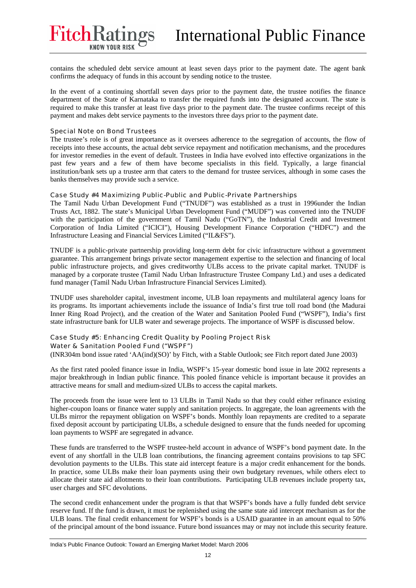contains the scheduled debt service amount at least seven days prior to the payment date. The agent bank confirms the adequacy of funds in this account by sending notice to the trustee.

In the event of a continuing shortfall seven days prior to the payment date, the trustee notifies the finance department of the State of Karnataka to transfer the required funds into the designated account. The state is required to make this transfer at least five days prior to the payment date. The trustee confirms receipt of this payment and makes debt service payments to the investors three days prior to the payment date.

#### Special Note on Bond Trustees

FitchRati

The trustee's role is of great importance as it oversees adherence to the segregation of accounts, the flow of receipts into these accounts, the actual debt service repayment and notification mechanisms, and the procedures for investor remedies in the event of default. Trustees in India have evolved into effective organizations in the past few years and a few of them have become specialists in this field. Typically, a large financial institution/bank sets up a trustee arm that caters to the demand for trustee services, although in some cases the banks themselves may provide such a service.

#### Case Study #4 Maximizing Public-Public and Public-Private Partnerships

The Tamil Nadu Urban Development Fund ("TNUDF") was established as a trust in 1996under the Indian Trusts Act, 1882. The state's Municipal Urban Development Fund ("MUDF") was converted into the TNUDF with the participation of the government of Tamil Nadu ("GoTN"), the Industrial Credit and Investment Corporation of India Limited ("ICICI"), Housing Development Finance Corporation ("HDFC") and the Infrastructure Leasing and Financial Services Limited ("IL&FS").

TNUDF is a public-private partnership providing long-term debt for civic infrastructure without a government guarantee. This arrangement brings private sector management expertise to the selection and financing of local public infrastructure projects, and gives creditworthy ULBs access to the private capital market. TNUDF is managed by a corporate trustee (Tamil Nadu Urban Infrastructure Trustee Company Ltd.) and uses a dedicated fund manager (Tamil Nadu Urban Infrastructure Financial Services Limited).

TNUDF uses shareholder capital, investment income, ULB loan repayments and multilateral agency loans for its programs. Its important achievements include the issuance of India's first true toll road bond (the Madurai Inner Ring Road Project), and the creation of the Water and Sanitation Pooled Fund ("WSPF"), India's first state infrastructure bank for ULB water and sewerage projects. The importance of WSPF is discussed below.

# Case Study #5: Enhancing Credit Quality by Pooling Project Risk

## Water & Sanitation Pooled Fund ("WSPF")

(INR304m bond issue rated 'AA(ind)(SO)' by Fitch, with a Stable Outlook; see Fitch report dated June 2003)

As the first rated pooled finance issue in India, WSPF's 15-year domestic bond issue in late 2002 represents a major breakthrough in Indian public finance. This pooled finance vehicle is important because it provides an attractive means for small and medium-sized ULBs to access the capital markets.

The proceeds from the issue were lent to 13 ULBs in Tamil Nadu so that they could either refinance existing higher-coupon loans or finance water supply and sanitation projects. In aggregate, the loan agreements with the ULBs mirror the repayment obligation on WSPF's bonds. Monthly loan repayments are credited to a separate fixed deposit account by participating ULBs, a schedule designed to ensure that the funds needed for upcoming loan payments to WSPF are segregated in advance.

These funds are transferred to the WSPF trustee-held account in advance of WSPF's bond payment date. In the event of any shortfall in the ULB loan contributions, the financing agreement contains provisions to tap SFC devolution payments to the ULBs. This state aid intercept feature is a major credit enhancement for the bonds. In practice, some ULBs make their loan payments using their own budgetary revenues, while others elect to allocate their state aid allotments to their loan contributions. Participating ULB revenues include property tax, user charges and SFC devolutions.

The second credit enhancement under the program is that that WSPF's bonds have a fully funded debt service reserve fund. If the fund is drawn, it must be replenished using the same state aid intercept mechanism as for the ULB loans. The final credit enhancement for WSPF's bonds is a USAID guarantee in an amount equal to 50% of the principal amount of the bond issuance. Future bond issuances may or may not include this security feature.